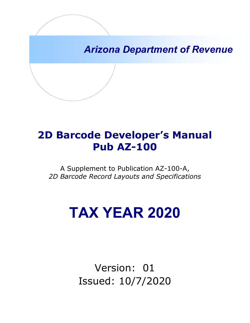*Arizona Department of Revenue*

## **2D Barcode Developer's Manual Pub AZ-100**

A Supplement to Publication AZ-100-A, *2D Barcode Record Layouts and Specifications*

# **TAX YEAR 2020**

Version: 01 Issued: 10/7/2020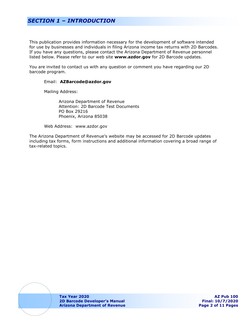## *SECTION 1 – INTRODUCTION*

This publication provides information necessary for the development of software intended for use by businesses and individuals in filing Arizona income tax returns with 2D Barcodes. If you have any questions, please contact the Arizona Department of Revenue personnel listed below. Please refer to our web site **www.azdor.gov** for 2D Barcode updates.

You are invited to contact us with any question or comment you have regarding our 2D barcode program.

#### Email: **AZBarcode@azdor.gov**

Mailing Address:

Arizona Department of Revenue Attention: 2D Barcode Test Documents PO Box 29216 Phoenix, Arizona 85038

Web Address: www.azdor.gov

The Arizona Department of Revenue's website may be accessed for 2D Barcode updates including tax forms, form instructions and additional information covering a broad range of tax-related topics.

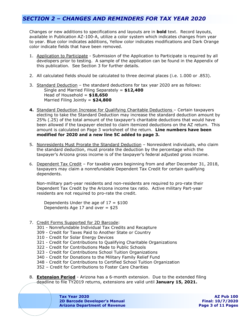## *SECTION 2 – CHANGES AND REMINDERS FOR TAX YEAR 2020*

Changes or new additions to specifications and layouts are in **bold** text. Record layouts, available in Publication AZ-100-A, utilize a color system which indicates changes from year to year. Blue color indicates additions, Yellow color indicates modifications and Dark Orange color indicate fields that have been removed.

- 1. Application to Participate Submission of the Application to Participate is required by all developers prior to testing. A sample of the application can be found in the Appendix of this publication. See Section 3 for further details.
- 2. All calculated fields should be calculated to three decimal places (i.e. 1.000 or .853).
- 3. Standard Deduction the standard deductions for tax year 2020 are as follows: Single and Married Filing Separately = **\$12,400** Head of Household = **\$18,650** Married Filing Jointly = **\$24,800**
- **4.** Standard Deduction Increase for Qualifying Charitable Deductions Certain taxpayers electing to take the Standard Deduction may increase the standard deduction amount by 25% (.25) of the total amount of the taxpayer's charitable deductions that would have been allowed if the taxpayer elected to claim itemized deductions on the AZ return. This amount is calculated on Page 3 worksheet of the return. **Line numbers have been modified for 2020 and a new line 5C added to page 3.**
- 5. Nonresidents Must Prorate the Standard Deduction Nonresident individuals, who claim the standard deduction, must prorate the deduction by the percentage which the taxpayer's Arizona gross income is of the taxpayer's federal adjusted gross income.
- 6. Dependent Tax Credit For taxable years beginning from and after December 31, 2018, taxpayers may claim a nonrefundable Dependent Tax Credit for certain qualifying dependents.

Non-military part-year residents and non-residents are required to pro-rate their Dependent Tax Credit by the Arizona income tax ratio. Active military Part-year residents are not required to pro-rate the credit.

Dependents Under the age of  $17 = $100$ Dependents Age 17 and over  $= $25$ 

- 7. Credit Forms Supported for 2D Barcode:
	- 301 Nonrefundable Individual Tax Credits and Recapture
	- 309 Credit for Taxes Paid to Another State or Country
	- 310 Credit for Solar Energy Devices
	- 321 Credit for Contributions to Qualifying Charitable Organizations
	- 322 Credit for Contributions Made to Public Schools
	- 323 Credit for Contributions School Tuition Organizations
	- 340 Credit for Donations to the Military Family Relief Fund
	- 348 Credit for Contributions to Certified School Tuition Organization
	- 352 Credit for Contributions to Foster Care Charities
- 8. **Extension Period** Arizona has a 6-month extension. Due to the extended filing deadline to file TY2019 returns, extensions are valid until **January 15, 2021.**

**Tax Year 2020 AZ Pub 100 2D Barcode Developer's Manual Final: 10/7/2020 Arizona Department of Revenue Page 3 of 11 Pages**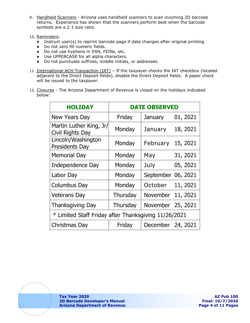- 9. Handheld Scanners Arizona uses handheld scanners to scan incoming 2D barcode returns. Experience has shown that the scanners perform best when the barcode symbols are a 2:1 size ratio.
- 10. Reminders:
	- Instruct user(s) to reprint barcode page if data changes after original printing.
	- Do not zero fill numeric fields.
	- Do not use hyphens in SSN, FEINs, etc.
	- Use UPPERCASE for all alpha characters.
	- Do not punctuate suffixes, middle initials, or addresses.
- 11. International ACH Transaction (IAT) If the taxpayer checks the IAT checkbox (located adjacent to the Direct Deposit fields), disable the Direct Deposit fields. A paper check will be issued to the taxpayer.
- 12. Closures The Arizona Department of Revenue is closed on the holidays indicated below:

| <b>HOLIDAY</b>                                       |          | <b>DATE OBSERVED</b> |          |  |  |  |
|------------------------------------------------------|----------|----------------------|----------|--|--|--|
| <b>New Years Day</b>                                 | Friday   | January              | 01, 2021 |  |  |  |
| Martin Luther King, Jr/<br>Civil Rights Day          | Monday   | January              | 18, 2021 |  |  |  |
| Lincoln/Washington<br><b>Presidents Day</b>          | Monday   | February             | 15, 2021 |  |  |  |
| <b>Memorial Day</b>                                  | Monday   | May                  | 31, 2021 |  |  |  |
| Independence Day                                     | Monday   | July                 | 05, 2021 |  |  |  |
| Labor Day                                            | Monday   | September 06, 2021   |          |  |  |  |
| <b>Columbus Day</b>                                  | Monday   | October              | 11, 2021 |  |  |  |
| <b>Veterans Day</b>                                  | Thursday | November             | 11, 2021 |  |  |  |
| <b>Thanksgiving Day</b>                              | Thursday | November 25, 2021    |          |  |  |  |
| * Limited Staff Friday after Thanksgiving 11/26/2021 |          |                      |          |  |  |  |
| Christmas Day                                        | Friday   | December 24, 2021    |          |  |  |  |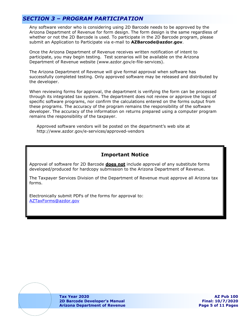## *SECTION 3 – PROGRAM PARTICIPATION*

Any software vendor who is considering using 2D Barcode needs to be approved by the Arizona Department of Revenue for form design. The form design is the same regardless of whether or not the 2D Barcode is used. To participate in the 2D Barcode program, please submit an Application to Participate via e-mail to **AZBarcode@azdor.gov**.

Once the Arizona Department of Revenue receives written notification of intent to participate, you may begin testing. Test scenarios will be available on the Arizona Department of Revenue website [\(www.azdor.gov/e-file-services\)](http://www.azdor.gov/e-file-services).

The Arizona Department of Revenue will give formal approval when software has successfully completed testing. Only approved software may be released and distributed by the developer.

When reviewing forms for approval, the department is verifying the form can be processed through its integrated tax system. The department does not review or approve the logic of specific software programs, nor confirm the calculations entered on the forms output from these programs. The accuracy of the program remains the responsibility of the software developer. The accuracy of the information on returns prepared using a computer program remains the responsibility of the taxpayer.

Approved software vendors will be posted on the department's web site at [http://www.azdor.gov/e-services/approved-](http://www.azdor.gov/e-services/approved)vendors

#### **Important Notice**

Approval of software for 2D Barcode **does not** include approval of any substitute forms developed/produced for hardcopy submission to the Arizona Department of Revenue.

The Taxpayer Services Division of the Department of Revenue must approve all Arizona tax forms.

Electronically submit PDFs of the forms for approval to: [AZTaxForms@azdor.gov](mailto:AZTaxForms@azdor.gov)



**Tax Year 2020 AZ Pub 100 2D Barcode Developer's Manual Final: 10/7/2020 Arizona Department of Revenue Page 5 of 11 Pages**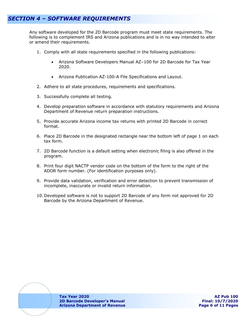## *SECTION 4 – SOFTWARE REQUIREMENTS*

Any software developed for the 2D Barcode program must meet state requirements. The following is to complement IRS and Arizona publications and is in no way intended to alter or amend their requirements.

- 1. Comply with all state requirements specified in the following publications:
	- Arizona Software Developers Manual AZ–100 for 2D Barcode for Tax Year 2020.
	- Arizona Publication AZ-100-A File Specifications and Layout.
- 2. Adhere to all state procedures, requirements and specifications.
- 3. Successfully complete all testing.
- 4. Develop preparation software in accordance with statutory requirements and Arizona Department of Revenue return preparation instructions.
- 5. Provide accurate Arizona income tax returns with printed 2D Barcode in correct format.
- 6. Place 2D Barcode in the designated rectangle near the bottom left of page 1 on each tax form.
- 7. 2D Barcode function is a default setting when electronic filing is also offered in the program.
- 8. Print four digit NACTP vendor code on the bottom of the form to the right of the ADOR form number. (For identification purposes only).
- 9. Provide data validation, verification and error detection to prevent transmission of incomplete, inaccurate or invalid return information.
- 10. Developed software is not to support 2D Barcode of any form not approved for 2D Barcode by the Arizona Department of Revenue.

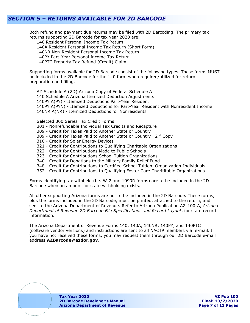## *SECTION 5 – RETURNS AVAILABLE FOR 2D BARCODE*

Both refund and payment due returns may be filed with 2D Barcoding. The primary tax returns supporting 2D Barcode for tax year 2020 are:

140 Resident Personal Income Tax Return 140A Resident Personal Income Tax Return (Short Form) 140NR Non-Resident Personal Income Tax Return 140PY Part-Year Personal Income Tax Return 140PTC Property Tax Refund (Credit) Claim

Supporting forms available for 2D Barcode consist of the following types. These forms MUST be included in the 2D Barcode for the 140 form when required/utilized for return preparation and filing.

AZ Schedule A (2D) Arizona Copy of Federal Schedule A 140 Schedule A Arizona Itemized Deduction Adjustments 140PY A(PY) - Itemized Deductions Part-Year Resident 140PY A(PYN) - Itemized Deductions for Part-Year Resident with Nonresident Income 140NR A(NR) - Itemized Deductions for Nonresidents

Selected 300 Series Tax Credit Forms:

- 301 Nonrefundable Individual Tax Credits and Recapture
- 309 Credit for Taxes Paid to Another State or Country
- 309 Credit for Taxes Paid to Another State or Country 2<sup>nd</sup> Copy
- 310 Credit for Solar Energy Devices
- 321 Credit for Contributions to Qualifying Charitable Organizations
- 322 Credit for Contributions Made to Public Schools
- 323 Credit for Contributions School Tuition Organizations
- 340 Credit for Donations to the Military Family Relief Fund
- 348 Credit for Contributions to Certified School Tuition Organization-Individuals
- 352 Credit for Contributions to Qualifying Foster Care Charititable Organizations

Forms identifying tax withheld (i.e. W-2 and 1099R forms) are to be included in the 2D Barcode when an amount for state withholding exists.

All other supporting Arizona forms are not to be included in the 2D Barcode. These forms, plus the forms included in the 2D Barcode, must be printed, attached to the return, and sent to the Arizona Department of Revenue. Refer to Arizona Publication AZ-100-A, *Arizona Department of Revenue 2D Barcode File Specifications and Record Layout*, for state record information.

The Arizona Department of Revenue Forms 140, 140A, 140NR, 140PY, and 140PTC (software vendor versions) and instructions are sent to all NACTP members via e-mail. If you have not received these forms, you may request them through our 2D Barcode e-mail address **AZBarcode@azdor.gov**.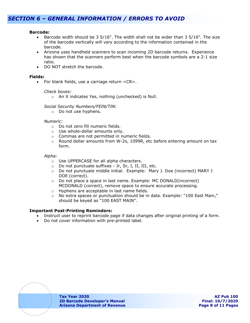## *SECTION 6 – GENERAL INFORMATION / ERRORS TO AVOID*

#### **Barcode:**

- Barcode width should be 3  $5/16"$ . The width shall not be wider than 3  $5/16"$ . The size of the barcode vertically will vary according to the information contained in the barcode.
- Arizona uses handheld scanners to scan incoming 2D barcode returns. Experience has shown that the scanners perform best when the barcode symbols are a 2:1 size ratio.
- DO NOT stretch the barcode.

#### **Fields:**

• For blank fields, use a carriage return <CR>.

#### *Check boxes:*

o An X indicates Yes, nothing (unchecked) is Null.

#### *Social Security Numbers/FEIN/TIN:*

o Do not use hyphens.

#### *Numeric:*

- o Do not zero fill numeric fields.
- o Use whole-dollar amounts only.
- o Commas are not permitted in numeric fields.
- o Round dollar amounts from W-2s, 1099R, etc before entering amount on tax form.

#### *Alpha:*

- o Use UPPERCASE for all alpha characters.
- o Do not punctuate suffixes Jr, Sr, I, II, III, etc.
- o Do not punctuate middle initial. Example: Mary J. Doe (incorrect) MARY J DOE (correct).
- $\circ$  Do not place a space in last name. Example: MC DONALD(incorrect) MCDONALD (correct), remove space to ensure accurate processing.
- $\circ$  Hyphens are acceptable in last name fields.<br> $\circ$  No extra spaces or punctuation should be in
- No extra spaces or punctuation should be in data. Example: "100 East Main," should be keyed as "100 EAST MAIN".

#### **Important Post-Printing Reminders:**

- Instruct user to reprint barcode page if data changes after original printing of a form.
- Do not cover information with pre-printed label.

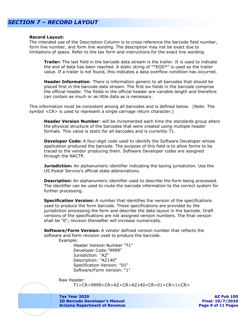#### **Record Layout:**

The intended use of the Description Column is to cross reference the barcode field number, form line number, and form line wording. The description may not be exact due to limitations of space. Refer to the tax form and instructions for the exact line wording.

**Trailer:** The last field in the barcode data stream is the trailer. It is used to indicate the end of data has been reached. A static string of "\*EOD\*" is used as the trailer value. If a trailer is not found, this indicates a data overflow condition has occurred.

**Header Information**: There is information generic to all barcodes that should be placed first in the barcode data stream. The first six fields in the barcode comprise the official header. The fields in the official header are variable length and therefore can contain as much or as little data as is necessary.

This information must be consistent among all barcodes and is defined below. (Note: The symbol <CR> is used to represent a single carriage return character.)

**Header Version Number**: will be incremented each time the standards group alters the physical structure of the barcodes that were created using multiple header formats. This value is static for all barcodes and is currently T1.

**Developer Code:** A four-digit code used to identify the Software Developer whose application produced the barcode. The purpose of this field is to allow forms to be traced to the vendor producing them. Software Developer codes are assigned through the NACTP.

**Jurisdiction:** An alphanumeric identifier indicating the taxing jurisdiction. Use the US Postal Service's official state abbreviations.

**Description:** An alphanumeric identifier used to describe the form being processed. The identifier can be used to route the barcode information to the correct system for further processing.

**Specification Version:** A number that identifies the version of the specifications used to produce the form barcode. These specifications are provided by the jurisdiction processing the form and describe the data layout in the barcode. Draft versions of the specifications are not assigned version numbers. The final version shall be "0", revision thereafter will increase numerically.

**Software/Form Version:** A vendor defined version number that reflects the software and form revision used to produce the barcode.

Example:

Header Version Number "T1" Developer Code:"9999" Jurisdiction: "AZ" Description: "AZ140" Specification Version: "01" Software/Form Version: "1"

Raw Header:

T1<CR>9999<CR>AZ<CR>AZ140<CR>01<CR>1<CR>

**Tax Year 2020 AZ Pub 100 2D Barcode Developer's Manual Final: 10/7/2020 Arizona Department of Revenue**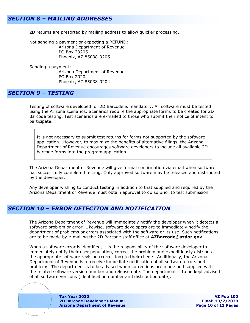## *SECTION 8 – MAILING ADDRESSES*

2D returns are presorted by mailing address to allow quicker processing.

Not sending a payment or expecting a REFUND: Arizona Department of Revenue PO Box 29205 Phoenix, AZ 85038-9205

Sending a payment: Arizona Department of Revenue PO Box 29204 Phoenix, AZ 85038-9204

#### *SECTION 9 – TESTING*

Testing of software developed for 2D Barcode is mandatory. All software must be tested using the Arizona scenarios. Scenarios require the appropriate forms to be created for 2D Barcode testing. Test scenarios are e-mailed to those who submit their notice of intent to participate.

It is not necessary to submit test returns for forms not supported by the software application. However, to maximize the benefits of alternative filings, the Arizona Department of Revenue encourages software developers to include all available 2D barcode forms into the program application.

The Arizona Department of Revenue will give formal confirmation via email when software has successfully completed testing. Only approved software may be released and distributed by the developer.

Any developer wishing to conduct testing in addition to that supplied and required by the Arizona Department of Revenue must obtain approval to do so prior to test submission.

## *SECTION 10 – ERROR DETECTION AND NOTIFICATION*

The Arizona Department of Revenue will immediately notify the developer when it detects a software problem or error. Likewise, software developers are to immediately notify the department of problems or errors associated with the software or its use. Such notifications are to be made by e-mailing the 2D Barcode staff office at **AZBarcode@azdor.gov**.

When a software error is identified, it is the responsibility of the software developer to immediately notify their user population, correct the problem and expeditiously distribute the appropriate software revision (correction) to their clients. Additionally, the Arizona Department of Revenue is to receive immediate notification of all software errors and problems. The department is to be advised when corrections are made and supplied with the related software version number and release date. The department is to be kept advised of all software versions (identification number and distribution date).

> **Tax Year 2020 AZ Pub 100 2D Barcode Developer's Manual Final: 10/7/2020 Arizona Department of Revenue Page 10 of 11 Pages**